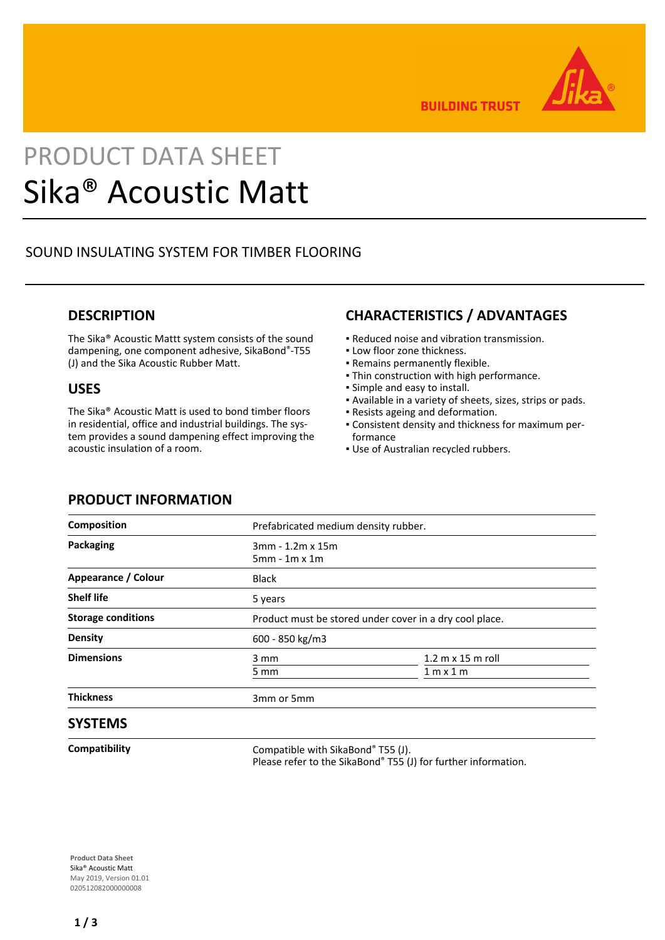

**BUILDING TRUST** 

# PRODUCT DATA SHEET Sika® Acoustic Matt

# SOUND INSULATING SYSTEM FOR TIMBER FLOORING

## **DESCRIPTION**

The Sika® Acoustic Mattt system consists of the sound dampening, one component adhesive, SikaBond®-T55 (J) and the Sika Acoustic Rubber Matt.

### **USES**

The Sika® Acoustic Matt is used to bond timber floors in residential, office and industrial buildings. The system provides a sound dampening effect improving the acoustic insulation of a room.

# **CHARACTERISTICS / ADVANTAGES**

- Reduced noise and vibration transmission.
- **.** Low floor zone thickness.
- Remains permanently flexible.
- **Thin construction with high performance.**
- Simple and easy to install.
- Available in a variety of sheets, sizes, strips or pads.
- Resists ageing and deformation.
- Consistent density and thickness for maximum per-▪ formance
- **.** Use of Australian recycled rubbers.

| יוטוואוט וייו ואטשטאו      |                                                         |                                                       |
|----------------------------|---------------------------------------------------------|-------------------------------------------------------|
| Composition                | Prefabricated medium density rubber.                    |                                                       |
| Packaging                  | 3mm - 1.2m x 15m<br>$5mm - 1m \times 1m$                |                                                       |
| <b>Appearance / Colour</b> | <b>Black</b>                                            |                                                       |
| Shelf life                 | 5 years                                                 |                                                       |
| <b>Storage conditions</b>  | Product must be stored under cover in a dry cool place. |                                                       |
| <b>Density</b>             | 600 - 850 kg/m3                                         |                                                       |
| <b>Dimensions</b>          | 3 mm<br>5 mm                                            | $1.2 \text{ m} \times 15 \text{ m}$ roll<br>1 m x 1 m |
| Thickness                  | 3mm or 5mm                                              |                                                       |
| <b>SYSTEMS</b>             |                                                         |                                                       |

**Compatibility** Compatible with SikaBond® T55 (J). Please refer to the SikaBond® T55 (J) for further information.

**Product Data Sheet** Sika® Acoustic Matt May 2019, Version 01.01 020512082000000008

# **PRODUCT INFORMATION**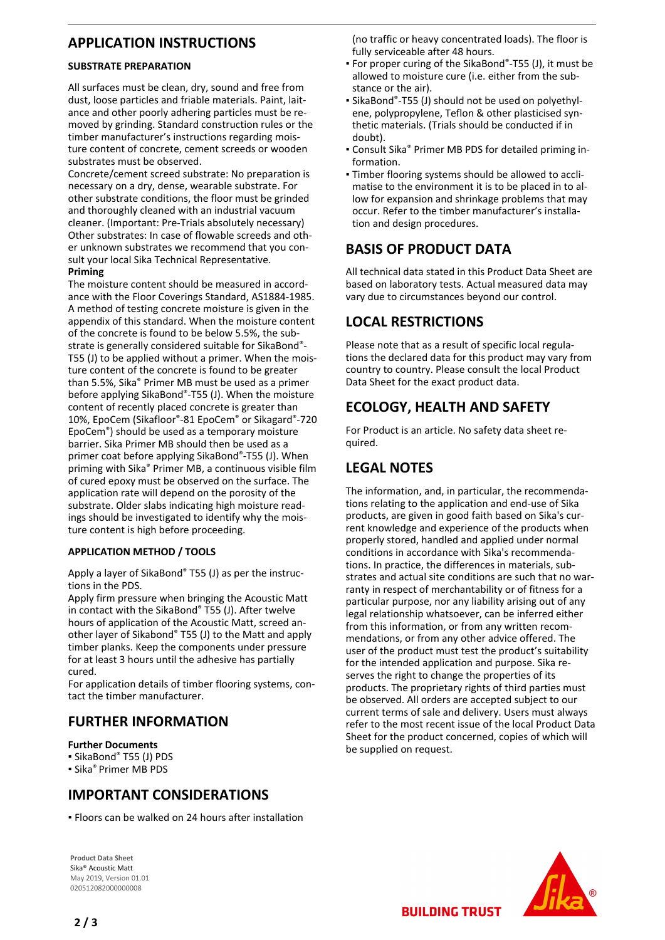# **APPLICATION INSTRUCTIONS**

#### **SUBSTRATE PREPARATION**

All surfaces must be clean, dry, sound and free from dust, loose particles and friable materials. Paint, laitance and other poorly adhering particles must be removed by grinding. Standard construction rules or the timber manufacturer's instructions regarding moisture content of concrete, cement screeds or wooden substrates must be observed.

Concrete/cement screed substrate: No preparation is necessary on a dry, dense, wearable substrate. For other substrate conditions, the floor must be grinded and thoroughly cleaned with an industrial vacuum cleaner. (Important: Pre-Trials absolutely necessary) Other substrates: In case of flowable screeds and other unknown substrates we recommend that you consult your local Sika Technical Representative. **Priming**

The moisture content should be measured in accordance with the Floor Coverings Standard, AS1884-1985. A method of testing concrete moisture is given in the appendix of this standard. When the moisture content of the concrete is found to be below 5.5%, the substrate is generally considered suitable for SikaBond®- T55 (J) to be applied without a primer. When the moisture content of the concrete is found to be greater than 5.5%, Sika® Primer MB must be used as a primer before applying SikaBond®-T55 (J). When the moisture content of recently placed concrete is greater than 10%, EpoCem (Sikafloor®-81 EpoCem® or Sikagard®-720 EpoCem®) should be used as a temporary moisture barrier. Sika Primer MB should then be used as a primer coat before applying SikaBond®-T55 (J). When priming with Sika® Primer MB, a continuous visible film of cured epoxy must be observed on the surface. The application rate will depend on the porosity of the substrate. Older slabs indicating high moisture readings should be investigated to identify why the moisture content is high before proceeding.

#### **APPLICATION METHOD / TOOLS**

Apply a layer of SikaBond® T55 (J) as per the instructions in the PDS.

Apply firm pressure when bringing the Acoustic Matt in contact with the SikaBond® T55 (J). After twelve hours of application of the Acoustic Matt, screed another layer of Sikabond® T55 (J) to the Matt and apply timber planks. Keep the components under pressure for at least 3 hours until the adhesive has partially cured.

For application details of timber flooring systems, contact the timber manufacturer.

# **FURTHER INFORMATION**

#### **Further Documents**

- SikaBond® T55 (J) PDS
- Sika® Primer MB PDS

# **IMPORTANT CONSIDERATIONS**

▪ Floors can be walked on 24 hours after installation

**Product Data Sheet** Sika® Acoustic Matt May 2019, Version 01.01 020512082000000008

(no traffic or heavy concentrated loads). The floor is fully serviceable after 48 hours.

- For proper curing of the SikaBond®-T55 (J), it must be allowed to moisture cure (i.e. either from the substance or the air).
- SikaBond®-T55 (J) should not be used on polyethyl-▪ ene, polypropylene, Teflon & other plasticised synthetic materials. (Trials should be conducted if in doubt).
- Consult Sika® Primer MB PDS for detailed priming in-▪ formation.
- Timber flooring systems should be allowed to accli-▪ matise to the environment it is to be placed in to allow for expansion and shrinkage problems that may occur. Refer to the timber manufacturer's installation and design procedures.

# **BASIS OF PRODUCT DATA**

All technical data stated in this Product Data Sheet are based on laboratory tests. Actual measured data may vary due to circumstances beyond our control.

# **LOCAL RESTRICTIONS**

Please note that as a result of specific local regulations the declared data for this product may vary from country to country. Please consult the local Product Data Sheet for the exact product data.

# **ECOLOGY, HEALTH AND SAFETY**

For Product is an article. No safety data sheet required.

# **LEGAL NOTES**

The information, and, in particular, the recommendations relating to the application and end-use of Sika products, are given in good faith based on Sika's current knowledge and experience of the products when properly stored, handled and applied under normal conditions in accordance with Sika's recommendations. In practice, the differences in materials, substrates and actual site conditions are such that no warranty in respect of merchantability or of fitness for a particular purpose, nor any liability arising out of any legal relationship whatsoever, can be inferred either from this information, or from any written recommendations, or from any other advice offered. The user of the product must test the product's suitability for the intended application and purpose. Sika reserves the right to change the properties of its products. The proprietary rights of third parties must be observed. All orders are accepted subject to our current terms of sale and delivery. Users must always refer to the most recent issue of the local Product Data Sheet for the product concerned, copies of which will be supplied on request.



**BUILDING TRUST**